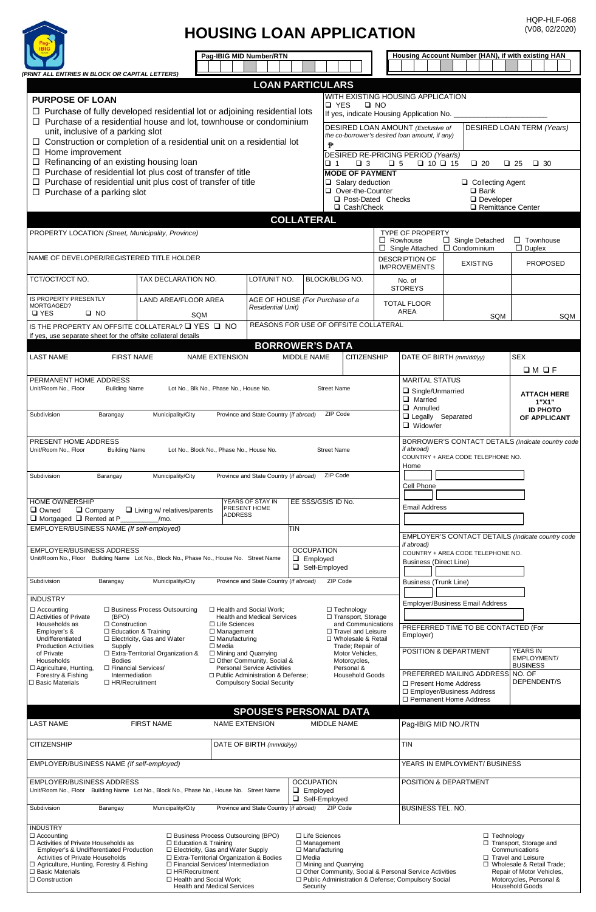

## **HOUSING LOAN APPLICATION**

HQP-HLF-068 (V08, 02/2020)

|                                                                                                                                                                                                                                                                             | Pag-IBIG MID Number/RTN                                                                                                                                                                                                                                                                                                                                                                                                                      |                                                                                                |                                                                                                                                                                                                                            |                                                                                                                                                              | Housing Account Number (HAN), if with existing HAN |                                                                                                                                                                                     |  |  |  |
|-----------------------------------------------------------------------------------------------------------------------------------------------------------------------------------------------------------------------------------------------------------------------------|----------------------------------------------------------------------------------------------------------------------------------------------------------------------------------------------------------------------------------------------------------------------------------------------------------------------------------------------------------------------------------------------------------------------------------------------|------------------------------------------------------------------------------------------------|----------------------------------------------------------------------------------------------------------------------------------------------------------------------------------------------------------------------------|--------------------------------------------------------------------------------------------------------------------------------------------------------------|----------------------------------------------------|-------------------------------------------------------------------------------------------------------------------------------------------------------------------------------------|--|--|--|
| (PRINT ALL ENTRIES IN BLOCK OR CAPITAL LETTERS)                                                                                                                                                                                                                             |                                                                                                                                                                                                                                                                                                                                                                                                                                              |                                                                                                |                                                                                                                                                                                                                            |                                                                                                                                                              |                                                    |                                                                                                                                                                                     |  |  |  |
| <b>PURPOSE OF LOAN</b><br>$\Box$ Purchase of fully developed residential lot or adjoining residential lots                                                                                                                                                                  |                                                                                                                                                                                                                                                                                                                                                                                                                                              | <b>LOAN PARTICULARS</b>                                                                        | □ YES                                                                                                                                                                                                                      | WITH EXISTING HOUSING APPLICATION<br>$\square$ NO                                                                                                            |                                                    |                                                                                                                                                                                     |  |  |  |
| $\Box$ Purchase of a residential house and lot, townhouse or condominium<br>unit, inclusive of a parking slot<br>$\Box$ Construction or completion of a residential unit on a residential lot                                                                               | If yes, indicate Housing Application No. _<br><b>DESIRED LOAN TERM (Years)</b><br>DESIRED LOAN AMOUNT (Exclusive of<br>the co-borrower's desired loan amount, if any)<br>$\mathbf{P}$                                                                                                                                                                                                                                                        |                                                                                                |                                                                                                                                                                                                                            |                                                                                                                                                              |                                                    |                                                                                                                                                                                     |  |  |  |
| $\Box$ Home improvement<br>$\Box$ Refinancing of an existing housing loan<br>$\Box$ Purchase of residential lot plus cost of transfer of title                                                                                                                              |                                                                                                                                                                                                                                                                                                                                                                                                                                              | $\Box$ 1<br>$\Box$ 3<br><b>MODE OF PAYMENT</b>                                                 | $\square$ 5                                                                                                                                                                                                                | DESIRED RE-PRICING PERIOD (Year/s)<br>$\Box$ 10 $\Box$ 15<br>$\Box$ 20<br>$\square$ 25<br>$\Box$ 30                                                          |                                                    |                                                                                                                                                                                     |  |  |  |
| $\Box$ Purchase of residential unit plus cost of transfer of title<br>$\Box$ Purchase of a parking slot                                                                                                                                                                     |                                                                                                                                                                                                                                                                                                                                                                                                                                              |                                                                                                |                                                                                                                                                                                                                            | $\Box$ Salary deduction<br>□ Collecting Agent<br>Over-the-Counter<br>$\square$ Bank<br>□ Post-Dated Checks<br>Developer<br>□ Cash/Check<br>Remittance Center |                                                    |                                                                                                                                                                                     |  |  |  |
|                                                                                                                                                                                                                                                                             |                                                                                                                                                                                                                                                                                                                                                                                                                                              | <b>COLLATERAL</b>                                                                              |                                                                                                                                                                                                                            |                                                                                                                                                              |                                                    |                                                                                                                                                                                     |  |  |  |
| PROPERTY LOCATION (Street, Municipality, Province)                                                                                                                                                                                                                          |                                                                                                                                                                                                                                                                                                                                                                                                                                              |                                                                                                | <b>TYPE OF PROPERTY</b><br>$\Box$ Rowhouse<br>$\Box$ Single Detached<br>$\Box$ Townhouse<br>$\Box$ Duplex<br>$\Box$ Single Attached $\Box$ Condominium                                                                     |                                                                                                                                                              |                                                    |                                                                                                                                                                                     |  |  |  |
| NAME OF DEVELOPER/REGISTERED TITLE HOLDER                                                                                                                                                                                                                                   |                                                                                                                                                                                                                                                                                                                                                                                                                                              | <b>DESCRIPTION OF</b><br><b>IMPROVEMENTS</b>                                                   | <b>PROPOSED</b>                                                                                                                                                                                                            |                                                                                                                                                              |                                                    |                                                                                                                                                                                     |  |  |  |
| TCT/OCT/CCT NO.<br>TAX DECLARATION NO.                                                                                                                                                                                                                                      | LOT/UNIT NO.                                                                                                                                                                                                                                                                                                                                                                                                                                 | BLOCK/BLDG NO.                                                                                 | No. of<br><b>STOREYS</b>                                                                                                                                                                                                   |                                                                                                                                                              |                                                    |                                                                                                                                                                                     |  |  |  |
| <b>IS PROPERTY PRESENTLY</b><br>LAND AREA/FLOOR AREA<br>MORTGAGED?<br><b>Q</b> YES<br>$\square$ NO                                                                                                                                                                          | SQM                                                                                                                                                                                                                                                                                                                                                                                                                                          | Residential Unit)                                                                              | AGE OF HOUSE (For Purchase of a                                                                                                                                                                                            | <b>TOTAL FLOOR</b><br>AREA                                                                                                                                   | SQM                                                |                                                                                                                                                                                     |  |  |  |
| IS THE PROPERTY AN OFFSITE COLLATERAL? Q YES Q NO<br>If yes, use separate sheet for the offsite collateral details                                                                                                                                                          |                                                                                                                                                                                                                                                                                                                                                                                                                                              |                                                                                                | REASONS FOR USE OF OFFSITE COLLATERAL                                                                                                                                                                                      |                                                                                                                                                              |                                                    |                                                                                                                                                                                     |  |  |  |
| <b>LAST NAME</b><br><b>FIRST NAME</b>                                                                                                                                                                                                                                       | <b>NAME EXTENSION</b>                                                                                                                                                                                                                                                                                                                                                                                                                        | <b>BORROWER'S DATA</b><br>MIDDLE NAME                                                          | <b>CITIZENSHIP</b>                                                                                                                                                                                                         |                                                                                                                                                              | DATE OF BIRTH (mm/dd/yy)                           | <b>SEX</b>                                                                                                                                                                          |  |  |  |
|                                                                                                                                                                                                                                                                             |                                                                                                                                                                                                                                                                                                                                                                                                                                              |                                                                                                |                                                                                                                                                                                                                            |                                                                                                                                                              |                                                    | $\Box$ M $\Box$ F                                                                                                                                                                   |  |  |  |
| PERMANENT HOME ADDRESS<br>Unit/Room No., Floor<br><b>Building Name</b><br>Lot No., Blk No., Phase No., House No.                                                                                                                                                            | <b>Street Name</b><br>ZIP Code                                                                                                                                                                                                                                                                                                                                                                                                               | <b>MARITAL STATUS</b><br>Single/Unmarried<br>$\Box$ Married<br>$\Box$ Annulled                 |                                                                                                                                                                                                                            | <b>ATTACH HERE</b><br>1"X1"<br><b>ID PHOTO</b>                                                                                                               |                                                    |                                                                                                                                                                                     |  |  |  |
| Subdivision<br>Barangay<br>Municipality/City                                                                                                                                                                                                                                | Province and State Country (if abroad)                                                                                                                                                                                                                                                                                                                                                                                                       |                                                                                                |                                                                                                                                                                                                                            | Legally Separated<br>OF APPLICANT<br>$\Box$ Widow/er                                                                                                         |                                                    |                                                                                                                                                                                     |  |  |  |
| PRESENT HOME ADDRESS<br>Unit/Room No., Floor<br><b>Building Name</b><br>Lot No., Block No., Phase No., House No.                                                                                                                                                            | if abroad)                                                                                                                                                                                                                                                                                                                                                                                                                                   | BORROWER'S CONTACT DETAILS (Indicate country code<br>COUNTRY + AREA CODE TELEPHONE NO.<br>Home |                                                                                                                                                                                                                            |                                                                                                                                                              |                                                    |                                                                                                                                                                                     |  |  |  |
| Subdivision<br>Barangay<br>Municipality/City                                                                                                                                                                                                                                | ZIP Code<br>Province and State Country (if abroad)                                                                                                                                                                                                                                                                                                                                                                                           | Cell Phone                                                                                     |                                                                                                                                                                                                                            |                                                                                                                                                              |                                                    |                                                                                                                                                                                     |  |  |  |
| HOME OWNERSHIP<br>$\square$ Owned<br>$\Box$ Company<br>$\Box$ Living w/ relatives/parents<br>$\Box$ Mortgaged $\Box$ Rented at P<br>/mo.                                                                                                                                    | YEARS OF STAY IN<br>PRESENT HOME<br><b>ADDRESS</b>                                                                                                                                                                                                                                                                                                                                                                                           |                                                                                                | EE SSS/GSIS ID No.                                                                                                                                                                                                         | <b>Email Address</b>                                                                                                                                         |                                                    |                                                                                                                                                                                     |  |  |  |
| EMPLOYER/BUSINESS NAME (If self-employed)                                                                                                                                                                                                                                   |                                                                                                                                                                                                                                                                                                                                                                                                                                              | TIN                                                                                            |                                                                                                                                                                                                                            |                                                                                                                                                              | EMPLOYER'S CONTACT DETAILS (Indicate country code  |                                                                                                                                                                                     |  |  |  |
| EMPLOYER/BUSINESS ADDRESS                                                                                                                                                                                                                                                   | <b>OCCUPATION</b><br>Unit/Room No., Floor Building Name Lot No., Block No., Phase No., House No. Street Name<br>$\Box$ Employed<br>Self-Employed                                                                                                                                                                                                                                                                                             |                                                                                                |                                                                                                                                                                                                                            |                                                                                                                                                              |                                                    | if abroad)<br>COUNTRY + AREA CODE TELEPHONE NO.<br><b>Business (Direct Line)</b>                                                                                                    |  |  |  |
| Municipality/City<br>Subdivision<br>Barangay                                                                                                                                                                                                                                | Province and State Country (if abroad)                                                                                                                                                                                                                                                                                                                                                                                                       |                                                                                                | ZIP Code                                                                                                                                                                                                                   |                                                                                                                                                              | <b>Business (Trunk Line)</b>                       |                                                                                                                                                                                     |  |  |  |
| <b>INDUSTRY</b><br>□ Business Process Outsourcing<br>$\Box$ Accounting                                                                                                                                                                                                      | □ Health and Social Work;                                                                                                                                                                                                                                                                                                                                                                                                                    |                                                                                                | □ Technology<br>□ Transport, Storage                                                                                                                                                                                       |                                                                                                                                                              | Employer/Business Email Address                    |                                                                                                                                                                                     |  |  |  |
| $\Box$ Construction<br>Households as<br>$\Box$ Education & Training<br>Employer's &<br>Undifferentiated<br>$\Box$ Electricity, Gas and Water                                                                                                                                | □ Activities of Private<br>(BPO)<br><b>Health and Medical Services</b><br>$\Box$ Life Sciences<br>□ Travel and Leisure<br>$\Box$ Management<br>$\Box$ Manufacturing<br>□ Wholesale & Retail<br>$\Box$ Media<br><b>Production Activities</b><br>Supply<br>□ Extra-Territorial Organization &<br>$\Box$ Mining and Quarrying<br>of Private<br>□ Other Community, Social &<br><b>Bodies</b><br>Households<br><b>Personal Service Activities</b> |                                                                                                |                                                                                                                                                                                                                            |                                                                                                                                                              |                                                    | PREFERRED TIME TO BE CONTACTED (For<br>Employer)                                                                                                                                    |  |  |  |
|                                                                                                                                                                                                                                                                             |                                                                                                                                                                                                                                                                                                                                                                                                                                              |                                                                                                |                                                                                                                                                                                                                            |                                                                                                                                                              |                                                    | <b>YEARS IN</b><br>EMPLOYMENT/<br><b>BUSINESS</b>                                                                                                                                   |  |  |  |
| □ Agriculture, Hunting,<br>□ Financial Services/<br>Forestry & Fishing<br>Intermediation<br>□ Basic Materials<br>□ HR/Recruitment                                                                                                                                           | Personal &<br><b>Household Goods</b>                                                                                                                                                                                                                                                                                                                                                                                                         |                                                                                                | PREFERRED MAILING ADDRESS NO. OF<br>□ Present Home Address<br>□ Employer/Business Address<br>□ Permanent Home Address                                                                                                      | DEPENDENT/S                                                                                                                                                  |                                                    |                                                                                                                                                                                     |  |  |  |
|                                                                                                                                                                                                                                                                             |                                                                                                                                                                                                                                                                                                                                                                                                                                              |                                                                                                | <b>SPOUSE'S PERSONAL DATA</b>                                                                                                                                                                                              |                                                                                                                                                              |                                                    |                                                                                                                                                                                     |  |  |  |
| <b>FIRST NAME</b><br><b>LAST NAME</b>                                                                                                                                                                                                                                       | <b>NAME EXTENSION</b>                                                                                                                                                                                                                                                                                                                                                                                                                        |                                                                                                | <b>MIDDLE NAME</b>                                                                                                                                                                                                         |                                                                                                                                                              | Pag-IBIG MID NO./RTN                               |                                                                                                                                                                                     |  |  |  |
| <b>CITIZENSHIP</b>                                                                                                                                                                                                                                                          |                                                                                                                                                                                                                                                                                                                                                                                                                                              | <b>TIN</b>                                                                                     |                                                                                                                                                                                                                            |                                                                                                                                                              |                                                    |                                                                                                                                                                                     |  |  |  |
| EMPLOYER/BUSINESS NAME (If self-employed)                                                                                                                                                                                                                                   |                                                                                                                                                                                                                                                                                                                                                                                                                                              |                                                                                                |                                                                                                                                                                                                                            |                                                                                                                                                              | YEARS IN EMPLOYMENT/ BUSINESS                      |                                                                                                                                                                                     |  |  |  |
| EMPLOYER/BUSINESS ADDRESS<br>Unit/Room No., Floor Building Name Lot No., Block No., Phase No., House No. Street Name                                                                                                                                                        | <b>OCCUPATION</b><br>$\Box$ Employed<br>Self-Employed                                                                                                                                                                                                                                                                                                                                                                                        | POSITION & DEPARTMENT                                                                          |                                                                                                                                                                                                                            |                                                                                                                                                              |                                                    |                                                                                                                                                                                     |  |  |  |
| Municipality/City<br>Subdivision<br>Barangay                                                                                                                                                                                                                                | Province and State Country (if abroad)                                                                                                                                                                                                                                                                                                                                                                                                       |                                                                                                | ZIP Code                                                                                                                                                                                                                   | <b>BUSINESS TEL. NO.</b>                                                                                                                                     |                                                    |                                                                                                                                                                                     |  |  |  |
| <b>INDUSTRY</b><br>$\Box$ Accounting<br>□ Activities of Private Households as<br>Emplover's & Undifferentiated Production<br>Activities of Private Households<br>□ Agriculture, Hunting, Forestry & Fishing<br>$\Box$ Basic Materials<br>□ HR/Recruitment<br>□ Construction | □ Business Process Outsourcing (BPO)<br>□ Education & Training<br>□ Electricity, Gas and Water Supply<br>□ Extra-Territorial Organization & Bodies<br>□ Financial Services/ Intermediation<br>□ Health and Social Work:<br><b>Health and Medical Services</b>                                                                                                                                                                                | $\Box$ Media                                                                                   | □ Life Sciences<br>$\Box$ Management<br>$\Box$ Manufacturing<br>$\Box$ Mining and Quarrying<br>□ Other Community, Social & Personal Service Activities<br>□ Public Administration & Defense; Compulsory Social<br>Security |                                                                                                                                                              | $\Box$ Technology                                  | □ Transport, Storage and<br>Communications<br>□ Travel and Leisure<br>□ Wholesale & Retail Trade;<br>Repair of Motor Vehicles,<br>Motorcycles, Personal &<br><b>Household Goods</b> |  |  |  |